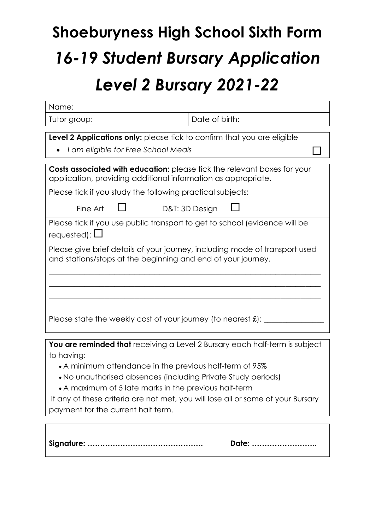# **Shoeburyness High School Sixth Form** *16-19 Student Bursary Application Level 2 Bursary 2021-22*

| Name:                                                                                                                                                                                                                                                                                                                                                                                                  |                |  |  |  |
|--------------------------------------------------------------------------------------------------------------------------------------------------------------------------------------------------------------------------------------------------------------------------------------------------------------------------------------------------------------------------------------------------------|----------------|--|--|--|
| Tutor group:                                                                                                                                                                                                                                                                                                                                                                                           | Date of birth: |  |  |  |
| Level 2 Applications only: please tick to confirm that you are eligible<br>I am eligible for Free School Meals                                                                                                                                                                                                                                                                                         |                |  |  |  |
| Costs associated with education: please tick the relevant boxes for your<br>application, providing additional information as appropriate.                                                                                                                                                                                                                                                              |                |  |  |  |
| Please tick if you study the following practical subjects:                                                                                                                                                                                                                                                                                                                                             |                |  |  |  |
| Fine Art                                                                                                                                                                                                                                                                                                                                                                                               | D&T: 3D Design |  |  |  |
| Please tick if you use public transport to get to school (evidence will be<br>requested): $\Box$                                                                                                                                                                                                                                                                                                       |                |  |  |  |
| Please give brief details of your journey, including mode of transport used<br>and stations/stops at the beginning and end of your journey.                                                                                                                                                                                                                                                            |                |  |  |  |
| Please state the weekly cost of your journey (to nearest $\pounds$ ): __                                                                                                                                                                                                                                                                                                                               |                |  |  |  |
|                                                                                                                                                                                                                                                                                                                                                                                                        |                |  |  |  |
| You are reminded that receiving a Level 2 Bursary each half-term is subject<br>to having:<br>• A minimum attendance in the previous half-term of 95%<br>. No unauthorised absences (including Private Study periods)<br>• A maximum of 5 late marks in the previous half-term<br>If any of these criteria are not met, you will lose all or some of your Bursary<br>payment for the current half term. |                |  |  |  |
|                                                                                                                                                                                                                                                                                                                                                                                                        | Date:          |  |  |  |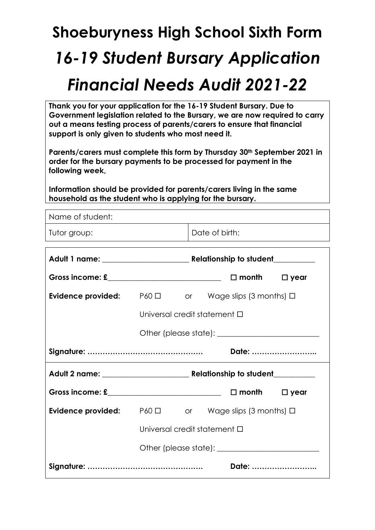## **Shoeburyness High School Sixth Form** *16-19 Student Bursary Application Financial Needs Audit 2021-22*

**Thank you for your application for the 16-19 Student Bursary. Due to Government legislation related to the Bursary, we are now required to carry out a means testing process of parents/carers to ensure that financial support is only given to students who most need it.**

**Parents/carers must complete this form by Thursday 30th September 2021 in order for the bursary payments to be processed for payment in the following week,**

**Information should be provided for parents/carers living in the same household as the student who is applying for the bursary.**

| nousehold as the student who is applying for the bursary.            |                                   |                |                 |             |  |
|----------------------------------------------------------------------|-----------------------------------|----------------|-----------------|-------------|--|
| Name of student:                                                     |                                   |                |                 |             |  |
| Tutor group:                                                         |                                   | Date of birth: |                 |             |  |
|                                                                      |                                   |                |                 |             |  |
|                                                                      |                                   |                |                 |             |  |
|                                                                      |                                   |                | $\square$ month | $\Box$ year |  |
| <b>Evidence provided:</b> $P60 \Box$ or Wage slips (3 months) $\Box$ |                                   |                |                 |             |  |
|                                                                      | Universal credit statement □      |                |                 |             |  |
|                                                                      |                                   |                |                 |             |  |
|                                                                      |                                   |                |                 |             |  |
|                                                                      |                                   |                | Date:           |             |  |
|                                                                      |                                   |                |                 |             |  |
|                                                                      |                                   |                | $\square$ month | $\Box$ year |  |
| <b>Evidence provided:</b> $P60 \Box$ or Wage slips (3 months) $\Box$ |                                   |                |                 |             |  |
|                                                                      | Universal credit statement $\Box$ |                |                 |             |  |
|                                                                      |                                   |                |                 |             |  |